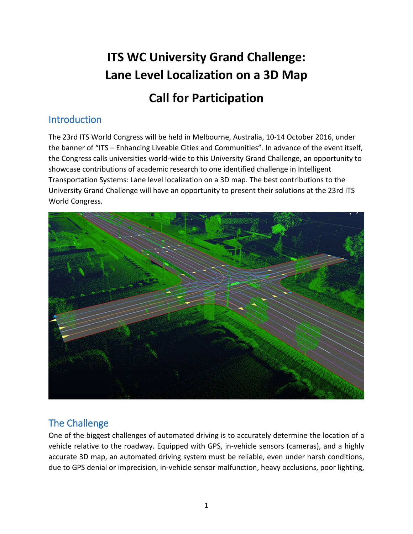# **ITS WC University Grand Challenge: Lane Level Localization on a 3D Map**

# **Call for Participation**

# Introduction

The 23rd ITS World Congress will be held in Melbourne, Australia, 10-14 October 2016, under the banner of "ITS – Enhancing Liveable Cities and Communities". In advance of the event itself, the Congress calls universities world-wide to this University Grand Challenge, an opportunity to showcase contributions of academic research to one identified challenge in Intelligent Transportation Systems: Lane level localization on a 3D map. The best contributions to the University Grand Challenge will have an opportunity to present their solutions at the 23rd ITS World Congress.



# The Challenge

One of the biggest challenges of automated driving is to accurately determine the location of a vehicle relative to the roadway. Equipped with GPS, in-vehicle sensors (cameras), and a highly accurate 3D map, an automated driving system must be reliable, even under harsh conditions, due to GPS denial or imprecision, in-vehicle sensor malfunction, heavy occlusions, poor lighting,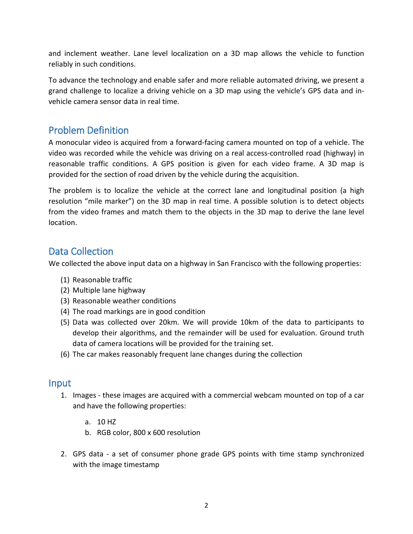and inclement weather. Lane level localization on a 3D map allows the vehicle to function reliably in such conditions.

To advance the technology and enable safer and more reliable automated driving, we present a grand challenge to localize a driving vehicle on a 3D map using the vehicle's GPS data and invehicle camera sensor data in real time.

#### Problem Definition

A monocular video is acquired from a forward-facing camera mounted on top of a vehicle. The video was recorded while the vehicle was driving on a real access-controlled road (highway) in reasonable traffic conditions. A GPS position is given for each video frame. A 3D map is provided for the section of road driven by the vehicle during the acquisition.

The problem is to localize the vehicle at the correct lane and longitudinal position (a high resolution "mile marker") on the 3D map in real time. A possible solution is to detect objects from the video frames and match them to the objects in the 3D map to derive the lane level location.

#### Data Collection

We collected the above input data on a highway in San Francisco with the following properties:

- (1) Reasonable traffic
- (2) Multiple lane highway
- (3) Reasonable weather conditions
- (4) The road markings are in good condition
- (5) Data was collected over 20km. We will provide 10km of the data to participants to develop their algorithms, and the remainder will be used for evaluation. Ground truth data of camera locations will be provided for the training set.
- (6) The car makes reasonably frequent lane changes during the collection

#### Input

- 1. Images these images are acquired with a commercial webcam mounted on top of a car and have the following properties:
	- a. 10 HZ
	- b. RGB color, 800 x 600 resolution
- 2. GPS data a set of consumer phone grade GPS points with time stamp synchronized with the image timestamp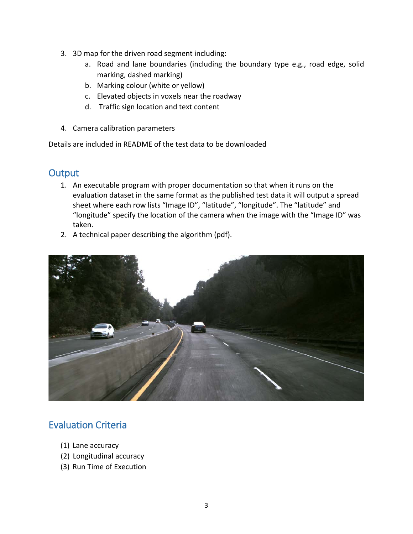- 3. 3D map for the driven road segment including:
	- a. Road and lane boundaries (including the boundary type e.g., road edge, solid marking, dashed marking)
	- b. Marking colour (white or yellow)
	- c. Elevated objects in voxels near the roadway
	- d. Traffic sign location and text content
- 4. Camera calibration parameters

Details are included in README of the test data to be downloaded

#### **Output**

- 1. An executable program with proper documentation so that when it runs on the evaluation dataset in the same format as the published test data it will output a spread sheet where each row lists "Image ID", "latitude", "longitude". The "latitude" and "longitude" specify the location of the camera when the image with the "Image ID" was taken.
- 2. A technical paper describing the algorithm (pdf).



# Evaluation Criteria

- (1) Lane accuracy
- (2) Longitudinal accuracy
- (3) Run Time of Execution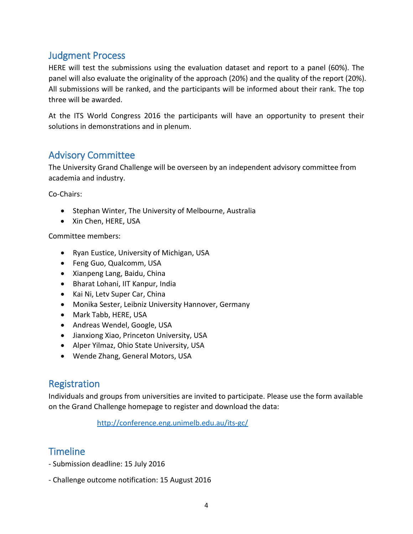#### Judgment Process

HERE will test the submissions using the evaluation dataset and report to a panel (60%). The panel will also evaluate the originality of the approach (20%) and the quality of the report (20%). All submissions will be ranked, and the participants will be informed about their rank. The top three will be awarded.

At the ITS World Congress 2016 the participants will have an opportunity to present their solutions in demonstrations and in plenum.

#### Advisory Committee

The University Grand Challenge will be overseen by an independent advisory committee from academia and industry.

Co-Chairs:

- Stephan Winter, The University of Melbourne, Australia
- Xin Chen, HERE, USA

Committee members:

- Ryan Eustice, University of Michigan, USA
- Feng Guo, Qualcomm, USA
- Xianpeng Lang, Baidu, China
- Bharat Lohani, IIT Kanpur, India
- Kai Ni, Letv Super Car, China
- Monika Sester, Leibniz University Hannover, Germany
- Mark Tabb, HERE, USA
- Andreas Wendel, Google, USA
- Jianxiong Xiao, Princeton University, USA
- Alper Yilmaz, Ohio State University, USA
- Wende Zhang, General Motors, USA

#### Registration

Individuals and groups from universities are invited to participate. Please use the form available on the Grand Challenge homepage to register and download the data:

<http://conference.eng.unimelb.edu.au/its-gc/>

#### **Timeline**

- Submission deadline: 15 July 2016
- Challenge outcome notification: 15 August 2016